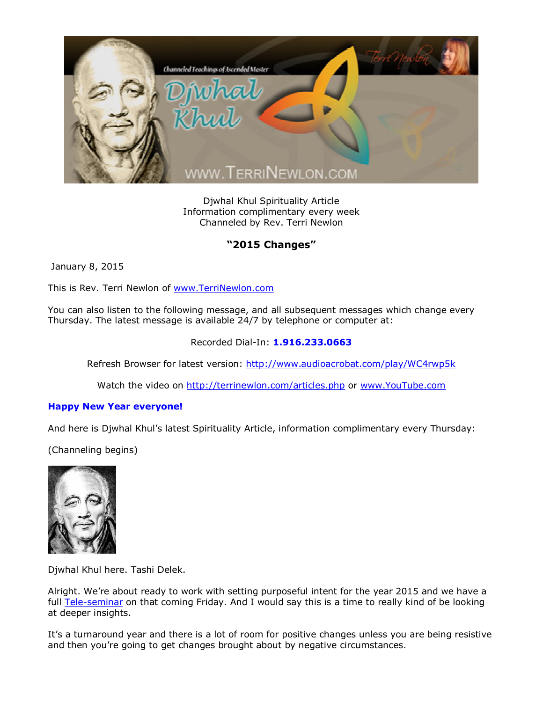

Djwhal Khul Spirituality Article Information complimentary every week Channeled by Rev. Terri Newlon

## **"2015 Changes"**

January 8, 2015

This is Rev. Terri Newlon of [www.TerriNewlon.com](http://www.terrinewlon.com/)

You can also listen to the following message, and all subsequent messages which change every Thursday. The latest message is available 24/7 by telephone or computer at:

## Recorded Dial-In: **1.916.233.0663**

Refresh Browser for latest version: <http://www.audioacrobat.com/play/WC4rwp5k>

Watch the video on <http://terrinewlon.com/articles.php> or [www.YouTube.com](http://www.youtube.com/)

## **Happy New Year everyone!**

And here is Djwhal Khul's latest Spirituality Article, information complimentary every Thursday:

(Channeling begins)



Djwhal Khul here. Tashi Delek.

Alright. We're about ready to work with setting purposeful intent for the year 2015 and we have a full [Tele-seminar](http://www.terrinewlon.com/telecourses.php) on that coming Friday. And I would say this is a time to really kind of be looking at deeper insights.

It's a turnaround year and there is a lot of room for positive changes unless you are being resistive and then you're going to get changes brought about by negative circumstances.